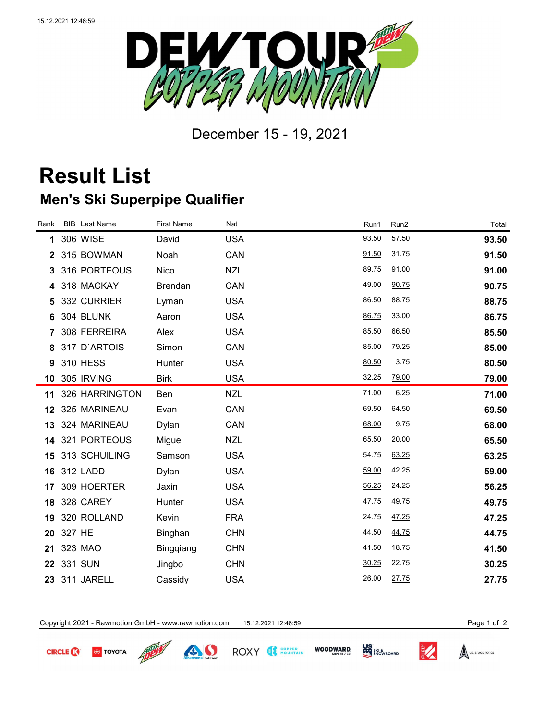

December 15 - 19, 2021

## **Result List Men's Ski Superpipe Qualifier**

| <b>BIB</b> Last Name | <b>First Name</b>                                                                   | Nat        | Run1  | Run2  | Total |
|----------------------|-------------------------------------------------------------------------------------|------------|-------|-------|-------|
| 306 WISE             | David                                                                               | <b>USA</b> | 93.50 | 57.50 | 93.50 |
| 315 BOWMAN           | Noah                                                                                | CAN        | 91.50 | 31.75 | 91.50 |
| 316 PORTEOUS         | Nico                                                                                | <b>NZL</b> | 89.75 | 91.00 | 91.00 |
| 318 MACKAY           | <b>Brendan</b>                                                                      | CAN        | 49.00 | 90.75 | 90.75 |
| 332 CURRIER          | Lyman                                                                               | <b>USA</b> | 86.50 | 88.75 | 88.75 |
| 304 BLUNK            | Aaron                                                                               | <b>USA</b> | 86.75 | 33.00 | 86.75 |
| 308 FERREIRA         | Alex                                                                                | <b>USA</b> | 85.50 | 66.50 | 85.50 |
| 317 D'ARTOIS         | Simon                                                                               | CAN        | 85.00 | 79.25 | 85.00 |
| 310 HESS             | Hunter                                                                              | <b>USA</b> | 80.50 | 3.75  | 80.50 |
|                      | <b>Birk</b>                                                                         | <b>USA</b> | 32.25 | 79.00 | 79.00 |
| 326 HARRINGTON       | Ben                                                                                 | <b>NZL</b> | 71.00 | 6.25  | 71.00 |
|                      | Evan                                                                                | CAN        | 69.50 | 64.50 | 69.50 |
| 324 MARINEAU         | Dylan                                                                               | CAN        | 68.00 | 9.75  | 68.00 |
|                      | Miguel                                                                              | <b>NZL</b> | 65.50 | 20.00 | 65.50 |
| 313 SCHUILING        | Samson                                                                              | <b>USA</b> | 54.75 | 63.25 | 63.25 |
| 312 LADD             | Dylan                                                                               | <b>USA</b> | 59.00 | 42.25 | 59.00 |
| 309 HOERTER          | Jaxin                                                                               | <b>USA</b> | 56.25 | 24.25 | 56.25 |
| 328 CAREY            | Hunter                                                                              | <b>USA</b> | 47.75 | 49.75 | 49.75 |
| 320 ROLLAND          | Kevin                                                                               | <b>FRA</b> | 24.75 | 47.25 | 47.25 |
| 327 HE               | Binghan                                                                             | <b>CHN</b> | 44.50 | 44.75 | 44.75 |
| 323 MAO              | <b>Bingqiang</b>                                                                    | <b>CHN</b> | 41.50 | 18.75 | 41.50 |
| 331 SUN              | Jingbo                                                                              | <b>CHN</b> | 30.25 | 22.75 | 30.25 |
| 311 JARELL           | Cassidy                                                                             | <b>USA</b> | 26.00 | 27.75 | 27.75 |
|                      | Rank<br>1<br><b>10 305 IRVING</b><br>11<br>12 325 MARINEAU<br>14 321 PORTEOUS<br>23 |            |       |       |       |

Copyright 2021 - Rawmotion GmbH - www.rawmotion.com 15.12.2021 12:46:59 Page 1 of 2



**TOYOTA** 



ROXY & MOUNTAIN

**WOODWARD.** 



U.S. SPACE FORCE